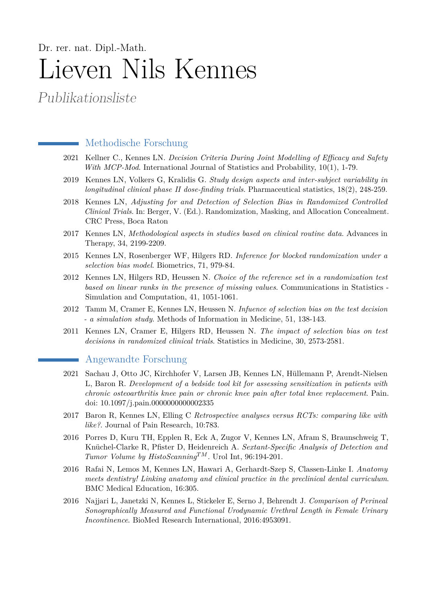## Dr. rer. nat. Dipl.-Math. Lieven Nils Kennes

Publikationsliste

## Methodische Forschung

- 2021 Kellner C., Kennes LN. *Decision Criteria During Joint Modelling of Efficacy and Safety With MCP-Mod*. International Journal of Statistics and Probability, 10(1), 1-79.
- 2019 Kennes LN, Volkers G, Kralidis G. *Study design aspects and inter-subject variability in longitudinal clinical phase II dose-finding trials*. Pharmaceutical statistics, 18(2), 248-259.
- 2018 Kennes LN, *Adjusting for and Detection of Selection Bias in Randomized Controlled Clinical Trials*. In: Berger, V. (Ed.). Randomization, Masking, and Allocation Concealment. CRC Press, Boca Raton
- 2017 Kennes LN, *Methodological aspects in studies based on clinical routine data*. Advances in Therapy, 34, 2199-2209.
- 2015 Kennes LN, Rosenberger WF, Hilgers RD. *Inference for blocked randomization under a selection bias model*. Biometrics, 71, 979-84.
- 2012 Kennes LN, Hilgers RD, Heussen N. *Choice of the reference set in a randomization test based on linear ranks in the presence of missing values*. Communications in Statistics - Simulation and Computation, 41, 1051-1061.
- 2012 Tamm M, Cramer E, Kennes LN, Heussen N. *Infuence of selection bias on the test decision - a simulation study*. Methods of Information in Medicine, 51, 138-143.
- 2011 Kennes LN, Cramer E, Hilgers RD, Heussen N. *The impact of selection bias on test decisions in randomized clinical trials*. Statistics in Medicine, 30, 2573-2581.

## Angewandte Forschung

- 2021 Sachau J, Otto JC, Kirchhofer V, Larsen JB, Kennes LN, Hüllemann P, Arendt-Nielsen L, Baron R. *Development of a bedside tool kit for assessing sensitization in patients with chronic osteoarthritis knee pain or chronic knee pain after total knee replacement*. Pain. doi: 10.1097/j.pain.0000000000002335
- 2017 Baron R, Kennes LN, Elling C *Retrospective analyses versus RCTs: comparing like with like?*. Journal of Pain Research, 10:783.
- 2016 Porres D, Kuru TH, Epplen R, Eck A, Zugor V, Kennes LN, Afram S, Braunschweig T, Knüchel-Clarke R, Pfister D, Heidenreich A. *Sextant-Specific Analysis of Detection and Tumor Volume by HistoScanningTM*. Urol Int, 96:194-201.
- 2016 Rafai N, Lemos M, Kennes LN, Hawari A, Gerhardt-Szep S, Classen-Linke I. *Anatomy meets dentistry! Linking anatomy and clinical practice in the preclinical dental curriculum*. BMC Medical Education, 16:305.
- 2016 Najjari L, Janetzki N, Kennes L, Stickeler E, Serno J, Behrendt J. *Comparison of Perineal Sonographically Measured and Functional Urodynamic Urethral Length in Female Urinary Incontinence*. BioMed Research International, 2016:4953091.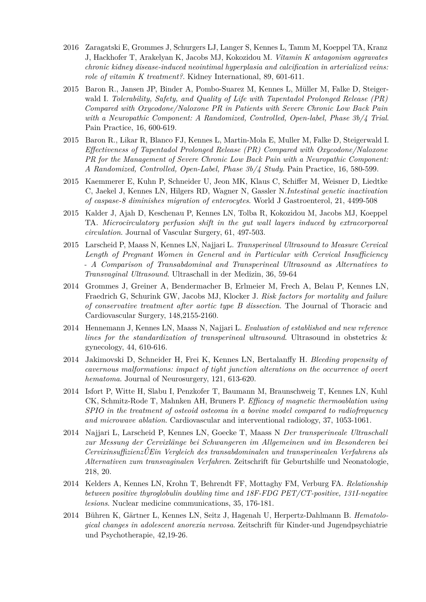- 2016 Zaragatski E, Grommes J, Schurgers LJ, Langer S, Kennes L, Tamm M, Koeppel TA, Kranz J, Hackhofer T, Arakelyan K, Jacobs MJ, Kokozidou M. *Vitamin K antagonism aggravates chronic kidney disease-induced neointimal hyperplasia and calcification in arterialized veins: role of vitamin K treatment?*. Kidney International, 89, 601-611.
- 2015 Baron R., Jansen JP, Binder A, Pombo-Suarez M, Kennes L, Müller M, Falke D, Steigerwald I. *Tolerability, Safety, and Quality of Life with Tapentadol Prolonged Release (PR) Compared with Oxycodone/Naloxone PR in Patients with Severe Chronic Low Back Pain with a Neuropathic Component: A Randomized, Controlled, Open-label, Phase 3b/4 Trial*. Pain Practice, 16, 600-619.
- 2015 Baron R., Likar R, Blanco FJ, Kennes L, Martin-Mola E, Muller M, Falke D, Steigerwald I. *Effectiveness of Tapentadol Prolonged Release (PR) Compared with Oxycodone/Naloxone PR for the Management of Severe Chronic Low Back Pain with a Neuropathic Component: A Randomized, Controlled, Open-Label, Phase 3b/4 Study*. Pain Practice, 16, 580-599.
- 2015 Kaemmerer E, Kuhn P, Schneider U, Jeon MK, Klaus C, Schiffer M, Weisner D, Liedtke C, Jaekel J, Kennes LN, Hilgers RD, Wagner N, Gassler N.*Intestinal genetic inactivation of caspase-8 diminishes migration of enterocytes*. World J Gastroenterol, 21, 4499-508
- 2015 Kalder J, Ajah D, Keschenau P, Kennes LN, Tolba R, Kokozidou M, Jacobs MJ, Koeppel TA. *Microcirculatory perfusion shift in the gut wall layers induced by extracorporeal circulation*. Journal of Vascular Surgery, 61, 497-503.
- 2015 Larscheid P, Maass N, Kennes LN, Najjari L. *Transperineal Ultrasound to Measure Cervical Length of Pregnant Women in General and in Particular with Cervical Insufficiency - A Comparison of Transabdominal and Transperineal Ultrasound as Alternatives to Transvaginal Ultrasound*. Ultraschall in der Medizin, 36, 59-64
- 2014 Grommes J, Greiner A, Bendermacher B, Erlmeier M, Frech A, Belau P, Kennes LN, Fraedrich G, Schurink GW, Jacobs MJ, Klocker J. *Risk factors for mortality and failure of conservative treatment after aortic type B dissection*. The Journal of Thoracic and Cardiovascular Surgery, 148,2155-2160.
- 2014 Hennemann J, Kennes LN, Maass N, Najjari L. *Evaluation of established and new reference lines for the standardization of transperineal ultrasound*. Ultrasound in obstetrics & gynecology, 44, 610-616.
- 2014 Jakimovski D, Schneider H, Frei K, Kennes LN, Bertalanffy H. *Bleeding propensity of cavernous malformations: impact of tight junction alterations on the occurrence of overt hematoma*. Journal of Neurosurgery, 121, 613-620.
- 2014 Isfort P, Witte H, Slabu I, Penzkofer T, Baumann M, Braunschweig T, Kennes LN, Kuhl CK, Schmitz-Rode T, Mahnken AH, Bruners P. *Efficacy of magnetic thermoablation using SPIO in the treatment of osteoid osteoma in a bovine model compared to radiofrequency and microwave ablation*. Cardiovascular and interventional radiology, 37, 1053-1061.
- 2014 Najjari L, Larscheid P, Kennes LN, Goecke T, Maass N *Der transperineale Ultraschall zur Messung der Cervixlänge bei Schwangeren im Allgemeinen und im Besonderen bei CervixinsuffizienzŰEin Vergleich des transabdominalen und transperinealen Verfahrens als Alternativen zum transvaginalen Verfahren*. Zeitschrift für Geburtshilfe und Neonatologie, 218, 20.
- 2014 Kelders A, Kennes LN, Krohn T, Behrendt FF, Mottaghy FM, Verburg FA. *Relationship between positive thyroglobulin doubling time and 18F-FDG PET/CT-positive, 131I-negative lesions*. Nuclear medicine communications, 35, 176-181.
- 2014 Bühren K, Gärtner L, Kennes LN, Seitz J, Hagenah U, Herpertz-Dahlmann B. *Hematological changes in adolescent anorexia nervosa*. Zeitschrift für Kinder-und Jugendpsychiatrie und Psychotherapie, 42,19-26.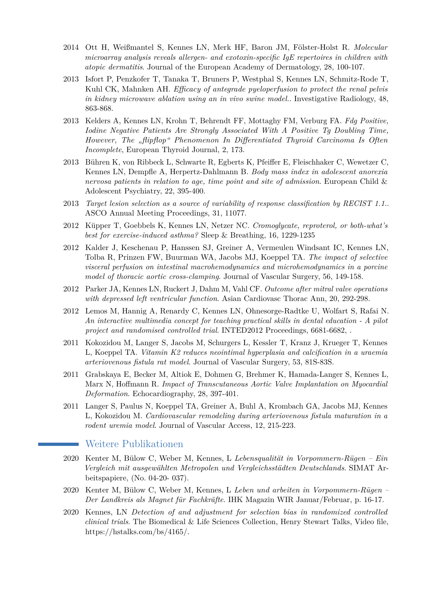- 2014 Ott H, Weißmantel S, Kennes LN, Merk HF, Baron JM, Fölster-Holst R. *Molecular microarray analysis reveals allergen- and exotoxin-specific IgE repertoires in children with atopic dermatitis*. Journal of the European Academy of Dermatology, 28, 100-107.
- 2013 Isfort P, Penzkofer T, Tanaka T, Bruners P, Westphal S, Kennes LN, Schmitz-Rode T, Kuhl CK, Mahnken AH. *Efficacy of antegrade pyeloperfusion to protect the renal pelvis in kidney microwave ablation using an in vivo swine model.*. Investigative Radiology, 48, 863-868.
- 2013 Kelders A, Kennes LN, Krohn T, Behrendt FF, Mottaghy FM, Verburg FA. *Fdg Positive, Iodine Negative Patients Are Strongly Associated With A Positive Tg Doubling Time, However, The "flipflop" Phenomenon In Differentiated Thyroid Carcinoma Is Often Incomplete*, European Thyroid Journal, 2, 173.
- 2013 Bühren K, von Ribbeck L, Schwarte R, Egberts K, Pfeiffer E, Fleischhaker C, Wewetzer C, Kennes LN, Dempfle A, Herpertz-Dahlmann B. *Body mass index in adolescent anorexia nervosa patients in relation to age, time point and site of admission*. European Child & Adolescent Psychiatry, 22, 395-400.
- 2013 *Target lesion selection as a source of variability of response classification by RECIST 1.1.*. ASCO Annual Meeting Proceedings, 31, 11077.
- 2012 Küpper T, Goebbels K, Kennes LN, Netzer NC. *Cromoglycate, reproterol, or both-what's best for exercise-induced asthma?* Sleep & Breathing, 16, 1229-1235
- 2012 Kalder J, Keschenau P, Hanssen SJ, Greiner A, Vermeulen Windsant IC, Kennes LN, Tolba R, Prinzen FW, Buurman WA, Jacobs MJ, Koeppel TA. *The impact of selective visceral perfusion on intestinal macrohemodynamics and microhemodynamics in a porcine model of thoracic aortic cross-clamping*. Journal of Vascular Surgery, 56, 149-158.
- 2012 Parker JA, Kennes LN, Ruckert J, Dahm M, Vahl CF. *Outcome after mitral valve operations with depressed left ventricular function*. Asian Cardiovasc Thorac Ann, 20, 292-298.
- 2012 Lemos M, Hannig A, Renardy C, Kennes LN, Ohnesorge-Radtke U, Wolfart S, Rafai N. *An interactive multimedia concept for teaching practical skills in dental education - A pilot project and randomised controlled trial*. INTED2012 Proceedings, 6681-6682, .
- 2011 Kokozidou M, Langer S, Jacobs M, Schurgers L, Kessler T, Kranz J, Krueger T, Kennes L, Koeppel TA. *Vitamin K2 reduces neointimal hyperplasia and calcification in a uraemia arteriovenous fistula rat model*. Journal of Vascular Surgery, 53, 81S-83S.
- 2011 Grabskaya E, Becker M, Altiok E, Dohmen G, Brehmer K, Hamada-Langer S, Kennes L, Marx N, Hoffmann R. *Impact of Transcutaneous Aortic Valve Implantation on Myocardial Deformation*. Echocardiography, 28, 397-401.
- 2011 Langer S, Paulus N, Koeppel TA, Greiner A, Buhl A, Krombach GA, Jacobs MJ, Kennes L, Kokozidou M. *Cardiovascular remodeling during arteriovenous fistula maturation in a rodent uremia model*. Journal of Vascular Access, 12, 215-223.

## Weitere Publikationen

- 2020 Kenter M, Bülow C, Weber M, Kennes, L *Lebensqualität in Vorpommern-Rügen Ein Vergleich mit ausgewählten Metropolen und Vergleichsstädten Deutschlands*. SIMAT Arbeitspapiere, (No. 04-20- 037).
- 2020 Kenter M, Bülow C, Weber M, Kennes, L *Leben und arbeiten in Vorpommern-Rügen – Der Landkreis als Magnet für Fachkräfte*. IHK Magazin WIR Januar/Februar, p. 16-17.
- 2020 Kennes, LN *Detection of and adjustment for selection bias in randomized controlled clinical trials*. The Biomedical & Life Sciences Collection, Henry Stewart Talks, Video file, https://hstalks.com/bs/4165/.